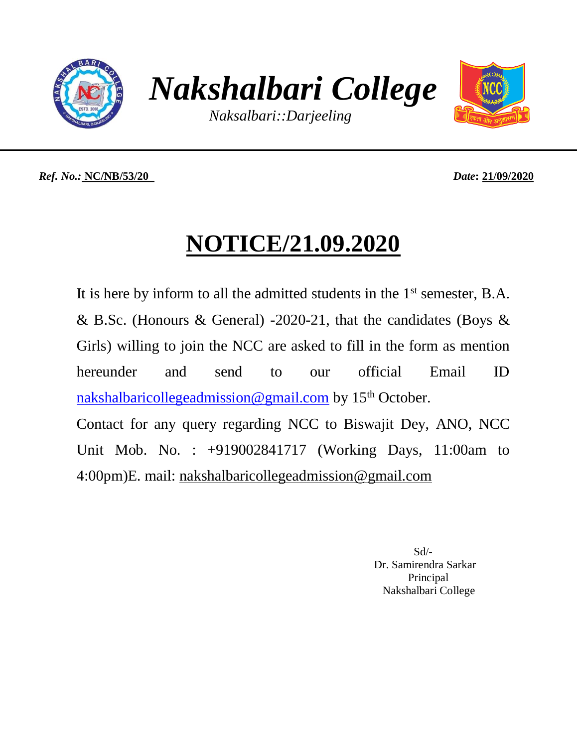

*Nakshalbari College*

*Naksalbari::Darjeeling*



*Ref. No.:* **NC/NB/53/20** *Date***: 21/09/2020**

## **NOTICE/21.09.2020**

It is here by inform to all the admitted students in the 1<sup>st</sup> semester, B.A. & B.Sc. (Honours & General) -2020-21, that the candidates (Boys & Girls) willing to join the NCC are asked to fill in the form as mention hereunder and send to our official Email ID [nakshalbaricollegeadmission@gmail.com](mailto:nakshalbaricollegeadmission@gmail.com) by  $15<sup>th</sup>$  October. Contact for any query regarding NCC to Biswajit Dey, ANO, NCC Unit Mob. No. : +919002841717 (Working Days, 11:00am to 4:00pm)E. mail: [nakshalbaricollegeadmission@gmail.com](mailto:nakshalbaricollegeadmission@gmail.com)

 Sd/- Dr. Samirendra Sarkar **Principal** Nakshalbari College